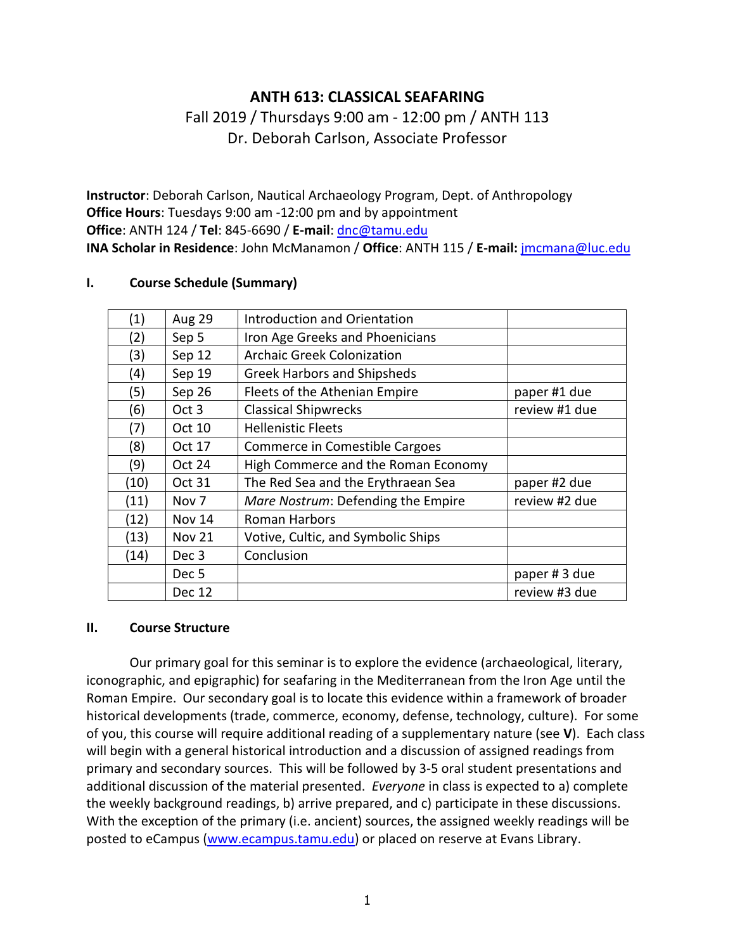# **ANTH 613: CLASSICAL SEAFARING**

Fall 2019 / Thursdays 9:00 am - 12:00 pm / ANTH 113 Dr. Deborah Carlson, Associate Professor

**Instructor**: Deborah Carlson, Nautical Archaeology Program, Dept. of Anthropology **Office Hours**: Tuesdays 9:00 am -12:00 pm and by appointment **Office**: ANTH 124 / **Tel**: 845-6690 / **E-mail**: [dnc@tamu.edu](mailto:dnc@tamu.edu) **INA Scholar in Residence**: John McManamon / **Office**: ANTH 115 / **E-mail:** [jmcmana@luc.edu](mailto:jmcmana@luc.edu)

| $\left( 1\right)$ | <b>Aug 29</b>    | Introduction and Orientation                  |               |
|-------------------|------------------|-----------------------------------------------|---------------|
| (2)               | Sep 5            | Iron Age Greeks and Phoenicians               |               |
| (3)               | Sep 12           | <b>Archaic Greek Colonization</b>             |               |
| (4)               | Sep 19           | <b>Greek Harbors and Shipsheds</b>            |               |
| (5)               | Sep 26           | Fleets of the Athenian Empire<br>paper #1 due |               |
| (6)               | Oct <sub>3</sub> | <b>Classical Shipwrecks</b><br>review #1 due  |               |
| (7)               | Oct 10           | <b>Hellenistic Fleets</b>                     |               |
| (8)               | Oct 17           | Commerce in Comestible Cargoes                |               |
| (9)               | <b>Oct 24</b>    | High Commerce and the Roman Economy           |               |
| (10)              | Oct 31           | The Red Sea and the Erythraean Sea            | paper #2 due  |
| (11)              | Nov <sub>7</sub> | Mare Nostrum: Defending the Empire            | review #2 due |
| (12)              | <b>Nov 14</b>    | Roman Harbors                                 |               |
| (13)              | <b>Nov 21</b>    | Votive, Cultic, and Symbolic Ships            |               |
| (14)              | Dec 3            | Conclusion                                    |               |
|                   | Dec 5            |                                               | paper #3 due  |
|                   | Dec 12           |                                               | review #3 due |

## **I. Course Schedule (Summary)**

### **II. Course Structure**

Our primary goal for this seminar is to explore the evidence (archaeological, literary, iconographic, and epigraphic) for seafaring in the Mediterranean from the Iron Age until the Roman Empire. Our secondary goal is to locate this evidence within a framework of broader historical developments (trade, commerce, economy, defense, technology, culture). For some of you, this course will require additional reading of a supplementary nature (see **V**). Each class will begin with a general historical introduction and a discussion of assigned readings from primary and secondary sources. This will be followed by 3-5 oral student presentations and additional discussion of the material presented. *Everyone* in class is expected to a) complete the weekly background readings, b) arrive prepared, and c) participate in these discussions. With the exception of the primary (i.e. ancient) sources, the assigned weekly readings will be posted to eCampus [\(www.ecampus.tamu.edu\)](http://www.ecampus.tamu.edu/) or placed on reserve at Evans Library.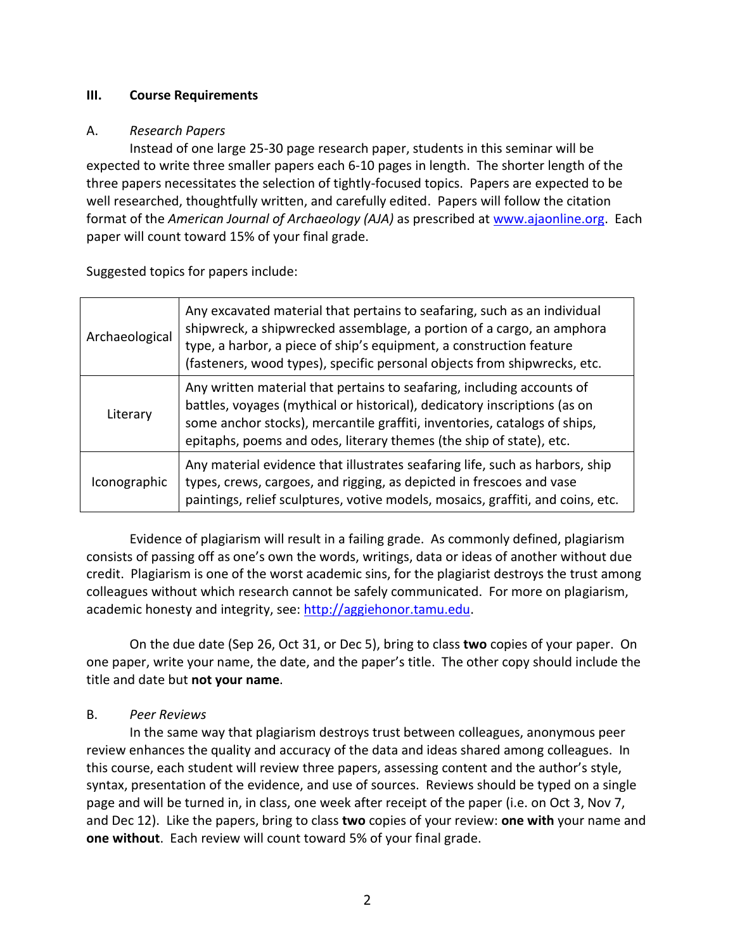## **III. Course Requirements**

# A. *Research Papers*

Instead of one large 25-30 page research paper, students in this seminar will be expected to write three smaller papers each 6-10 pages in length. The shorter length of the three papers necessitates the selection of tightly-focused topics. Papers are expected to be well researched, thoughtfully written, and carefully edited. Papers will follow the citation format of the *American Journal of Archaeology (AJA)* as prescribed at [www.ajaonline.org.](http://www.ajaonline.org/) Each paper will count toward 15% of your final grade.

Suggested topics for papers include:

| Archaeological      | Any excavated material that pertains to seafaring, such as an individual<br>shipwreck, a shipwrecked assemblage, a portion of a cargo, an amphora<br>type, a harbor, a piece of ship's equipment, a construction feature<br>(fasteners, wood types), specific personal objects from shipwrecks, etc.    |
|---------------------|---------------------------------------------------------------------------------------------------------------------------------------------------------------------------------------------------------------------------------------------------------------------------------------------------------|
| Literary            | Any written material that pertains to seafaring, including accounts of<br>battles, voyages (mythical or historical), dedicatory inscriptions (as on<br>some anchor stocks), mercantile graffiti, inventories, catalogs of ships,<br>epitaphs, poems and odes, literary themes (the ship of state), etc. |
| <b>Iconographic</b> | Any material evidence that illustrates seafaring life, such as harbors, ship<br>types, crews, cargoes, and rigging, as depicted in frescoes and vase<br>paintings, relief sculptures, votive models, mosaics, graffiti, and coins, etc.                                                                 |

Evidence of plagiarism will result in a failing grade. As commonly defined, plagiarism consists of passing off as one's own the words, writings, data or ideas of another without due credit. Plagiarism is one of the worst academic sins, for the plagiarist destroys the trust among colleagues without which research cannot be safely communicated. For more on plagiarism, academic honesty and integrity, see: [http://aggiehonor.tamu.edu.](http://aggiehonor.tamu.edu/)

On the due date (Sep 26, Oct 31, or Dec 5), bring to class **two** copies of your paper. On one paper, write your name, the date, and the paper's title. The other copy should include the title and date but **not your name**.

### B. *Peer Reviews*

In the same way that plagiarism destroys trust between colleagues, anonymous peer review enhances the quality and accuracy of the data and ideas shared among colleagues. In this course, each student will review three papers, assessing content and the author's style, syntax, presentation of the evidence, and use of sources. Reviews should be typed on a single page and will be turned in, in class, one week after receipt of the paper (i.e. on Oct 3, Nov 7, and Dec 12). Like the papers, bring to class **two** copies of your review: **one with** your name and **one without**. Each review will count toward 5% of your final grade.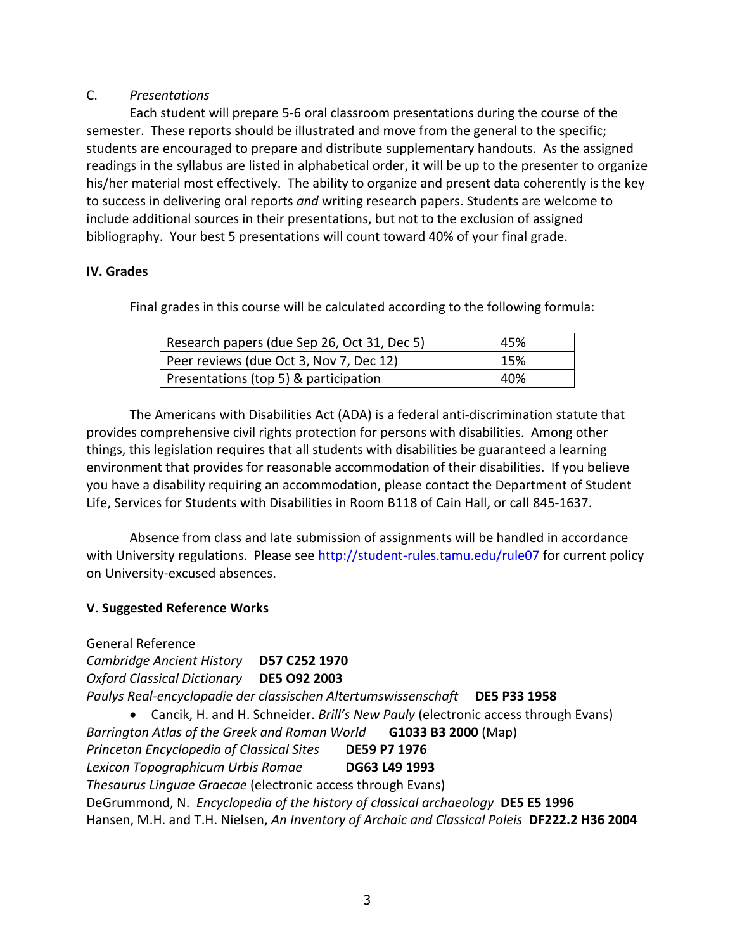# C. *Presentations*

Each student will prepare 5-6 oral classroom presentations during the course of the semester. These reports should be illustrated and move from the general to the specific; students are encouraged to prepare and distribute supplementary handouts. As the assigned readings in the syllabus are listed in alphabetical order, it will be up to the presenter to organize his/her material most effectively. The ability to organize and present data coherently is the key to success in delivering oral reports *and* writing research papers. Students are welcome to include additional sources in their presentations, but not to the exclusion of assigned bibliography. Your best 5 presentations will count toward 40% of your final grade.

## **IV. Grades**

Final grades in this course will be calculated according to the following formula:

| Research papers (due Sep 26, Oct 31, Dec 5) | 45% |
|---------------------------------------------|-----|
| Peer reviews (due Oct 3, Nov 7, Dec 12)     | 15% |
| Presentations (top 5) & participation       | 40% |

The Americans with Disabilities Act (ADA) is a federal anti-discrimination statute that provides comprehensive civil rights protection for persons with disabilities. Among other things, this legislation requires that all students with disabilities be guaranteed a learning environment that provides for reasonable accommodation of their disabilities. If you believe you have a disability requiring an accommodation, please contact the Department of Student Life, Services for Students with Disabilities in Room B118 of Cain Hall, or call 845-1637.

Absence from class and late submission of assignments will be handled in accordance with University regulations. Please see<http://student-rules.tamu.edu/rule07> for current policy on University-excused absences.

# **V. Suggested Reference Works**

General Reference *Cambridge Ancient History* **D57 C252 1970** *Oxford Classical Dictionary* **DE5 O92 2003** *Paulys Real-encyclopadie der classischen Altertumswissenschaft* **DE5 P33 1958** • Cancik, H. and H. Schneider. *Brill's New Pauly* (electronic access through Evans) *Barrington Atlas of the Greek and Roman World* **G1033 B3 2000** (Map) *Princeton Encyclopedia of Classical Sites* **DE59 P7 1976** *Lexicon Topographicum Urbis Romae* **DG63 L49 1993** *Thesaurus Linguae Graecae* (electronic access through Evans) DeGrummond, N. *Encyclopedia of the history of classical archaeology* **DE5 E5 1996** Hansen, M.H. and T.H. Nielsen, *An Inventory of Archaic and Classical Poleis* **DF222.2 H36 2004**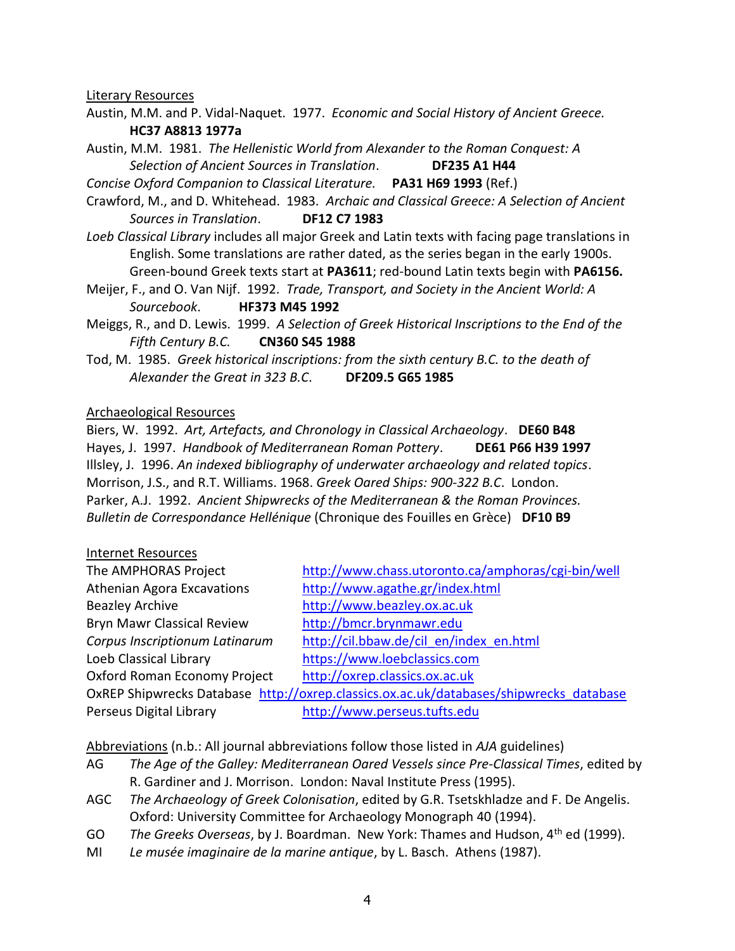Literary Resources

- Austin, M.M. and P. Vidal-Naquet. 1977. *Economic and Social History of Ancient Greece.* **HC37 A8813 1977a**
- Austin, M.M. 1981. *The Hellenistic World from Alexander to the Roman Conquest: A Selection of Ancient Sources in Translation*. **DF235 A1 H44**

*Concise Oxford Companion to Classical Literature.* **PA31 H69 1993** (Ref.)

- Crawford, M., and D. Whitehead. 1983*. Archaic and Classical Greece: A Selection of Ancient Sources in Translation*. **DF12 C7 1983**
- *Loeb Classical Library* includes all major Greek and Latin texts with facing page translations in English. Some translations are rather dated, as the series began in the early 1900s. Green-bound Greek texts start at **PA3611**; red-bound Latin texts begin with **PA6156.**
- Meijer, F., and O. Van Nijf. 1992. *Trade, Transport, and Society in the Ancient World: A Sourcebook*. **HF373 M45 1992**
- Meiggs, R., and D. Lewis. 1999. *A Selection of Greek Historical Inscriptions to the End of the Fifth Century B.C.* **CN360 S45 1988**
- Tod, M. 1985. *Greek historical inscriptions: from the sixth century B.C. to the death of Alexander the Great in 323 B.C*. **DF209.5 G65 1985**

#### Archaeological Resources

Biers, W. 1992. *Art, Artefacts, and Chronology in Classical Archaeology*. **DE60 B48** Hayes, J. 1997. *Handbook of Mediterranean Roman Pottery*. **DE61 P66 H39 1997** Illsley, J. 1996. *An indexed bibliography of underwater archaeology and related topics*. Morrison, J.S., and R.T. Williams. 1968. *Greek Oared Ships: 900-322 B.C*. London. Parker, A.J. 1992. *Ancient Shipwrecks of the Mediterranean & the Roman Provinces. Bulletin de Correspondance Hellénique* (Chronique des Fouilles en Grèce) **DF10 B9**

#### Internet Resources

| The AMPHORAS Project                                                                   | http://www.chass.utoronto.ca/amphoras/cgi-bin/well |  |  |  |
|----------------------------------------------------------------------------------------|----------------------------------------------------|--|--|--|
| <b>Athenian Agora Excavations</b>                                                      | http://www.agathe.gr/index.html                    |  |  |  |
| <b>Beazley Archive</b>                                                                 | http://www.beazley.ox.ac.uk                        |  |  |  |
| <b>Bryn Mawr Classical Review</b>                                                      | http://bmcr.brynmawr.edu                           |  |  |  |
| Corpus Inscriptionum Latinarum                                                         | http://cil.bbaw.de/cil en/index en.html            |  |  |  |
| Loeb Classical Library                                                                 | https://www.loebclassics.com                       |  |  |  |
| Oxford Roman Economy Project                                                           | http://oxrep.classics.ox.ac.uk                     |  |  |  |
| OxREP Shipwrecks Database http://oxrep.classics.ox.ac.uk/databases/shipwrecks database |                                                    |  |  |  |
| Perseus Digital Library                                                                | http://www.perseus.tufts.edu                       |  |  |  |

Abbreviations (n.b.: All journal abbreviations follow those listed in *AJA* guidelines)

- AG *The Age of the Galley: Mediterranean Oared Vessels since Pre-Classical Times*, edited by R. Gardiner and J. Morrison. London: Naval Institute Press (1995).
- AGC *The Archaeology of Greek Colonisation*, edited by G.R. Tsetskhladze and F. De Angelis. Oxford: University Committee for Archaeology Monograph 40 (1994).
- GO *The Greeks Overseas*, by J. Boardman. New York: Thames and Hudson, 4th ed (1999).
- MI *Le musée imaginaire de la marine antique*, by L. Basch. Athens (1987).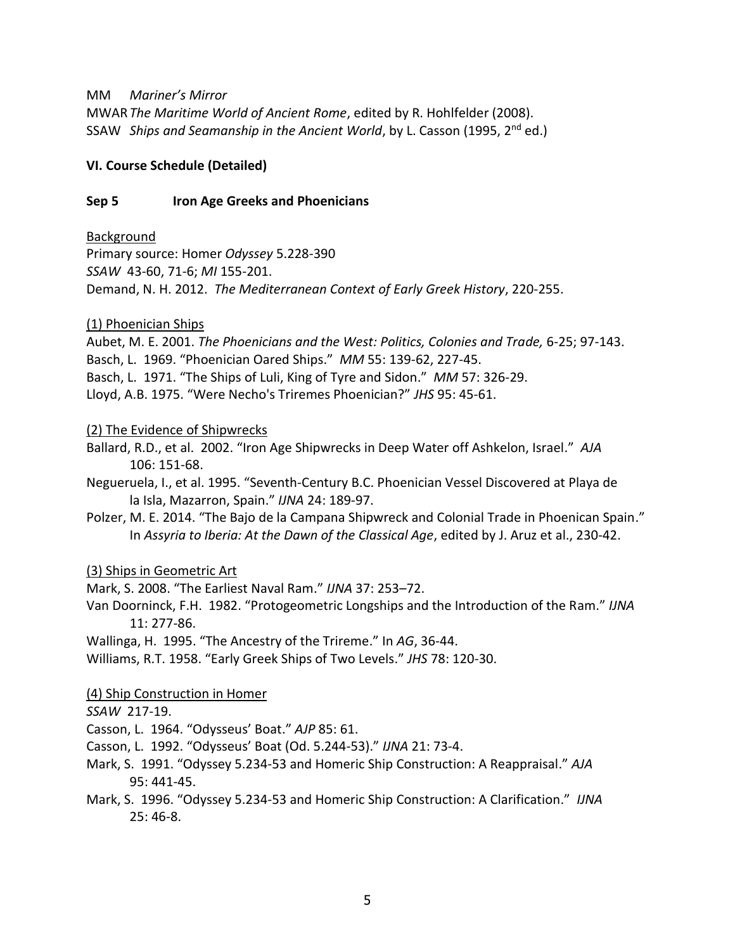MM *Mariner's Mirror*

MWAR*The Maritime World of Ancient Rome*, edited by R. Hohlfelder (2008). SSAW Ships and Seamanship in the Ancient World, by L. Casson (1995, 2<sup>nd</sup> ed.)

# **VI. Course Schedule (Detailed)**

### **Sep 5 Iron Age Greeks and Phoenicians**

### Background

Primary source: Homer *Odyssey* 5.228-390 *SSAW* 43-60, 71-6; *MI* 155-201. Demand, N. H. 2012. *The Mediterranean Context of Early Greek History*, 220-255.

## (1) Phoenician Ships

Aubet, M. E. 2001. *The Phoenicians and the West: Politics, Colonies and Trade,* 6-25; 97-143. Basch, L. 1969. "Phoenician Oared Ships." *MM* 55: 139-62, 227-45.

- Basch, L. 1971. "The Ships of Luli, King of Tyre and Sidon." *MM* 57: 326-29.
- Lloyd, A.B. 1975. "Were Necho's Triremes Phoenician?" *JHS* 95: 45-61.

## (2) The Evidence of Shipwrecks

Ballard, R.D., et al. 2002. "Iron Age Shipwrecks in Deep Water off Ashkelon, Israel." *AJA* 106: 151-68.

Negueruela, I., et al. 1995. "Seventh-Century B.C. Phoenician Vessel Discovered at Playa de la Isla, Mazarron, Spain." *IJNA* 24: 189-97.

Polzer, M. E. 2014. "The Bajo de la Campana Shipwreck and Colonial Trade in Phoenican Spain." In *Assyria to Iberia: At the Dawn of the Classical Age*, edited by J. Aruz et al., 230-42.

# (3) Ships in Geometric Art

Mark, S. 2008. "The Earliest Naval Ram." *IJNA* 37: 253–72.

Van Doorninck, F.H. 1982. "Protogeometric Longships and the Introduction of the Ram." *IJNA*  11: 277-86.

Wallinga, H. 1995. "The Ancestry of the Trireme." In *AG*, 36-44.

Williams, R.T. 1958. "Early Greek Ships of Two Levels." *JHS* 78: 120-30.

### (4) Ship Construction in Homer

# *SSAW* 217-19.

Casson, L. 1964. "Odysseus' Boat." *AJP* 85: 61.

- Casson, L. 1992. "Odysseus' Boat (Od. 5.244-53)." *IJNA* 21: 73-4.
- Mark, S. 1991. "Odyssey 5.234-53 and Homeric Ship Construction: A Reappraisal." *AJA* 95: 441-45.
- Mark, S. 1996. "Odyssey 5.234-53 and Homeric Ship Construction: A Clarification." *IJNA* 25: 46-8.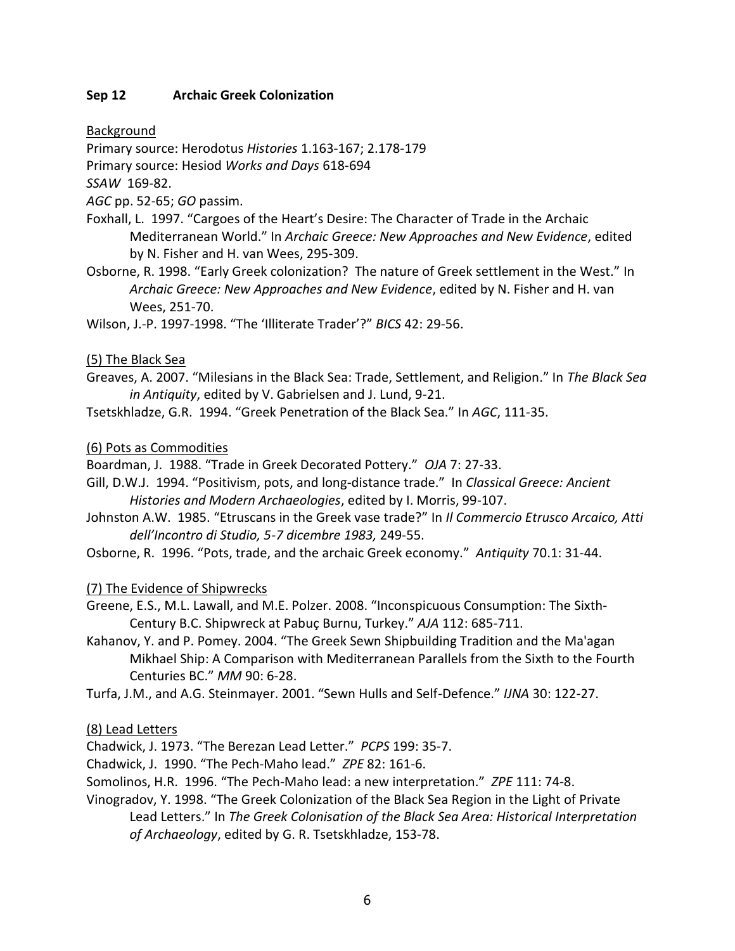## **Sep 12 Archaic Greek Colonization**

Background

Primary source: Herodotus *Histories* 1.163-167; 2.178-179

Primary source: Hesiod *Works and Days* 618-694

*SSAW* 169-82.

*AGC* pp. 52-65; *GO* passim.

- Foxhall, L. 1997. "Cargoes of the Heart's Desire: The Character of Trade in the Archaic Mediterranean World." In *Archaic Greece: New Approaches and New Evidence*, edited by N. Fisher and H. van Wees, 295-309.
- Osborne, R. 1998. "Early Greek colonization? The nature of Greek settlement in the West." In *Archaic Greece: New Approaches and New Evidence*, edited by N. Fisher and H. van Wees, 251-70.

Wilson, J.-P. 1997-1998. "The 'Illiterate Trader'?" *BICS* 42: 29-56.

(5) The Black Sea

Greaves, A. 2007. "Milesians in the Black Sea: Trade, Settlement, and Religion." In *The Black Sea in Antiquity*, edited by V. Gabrielsen and J. Lund, 9-21.

Tsetskhladze, G.R. 1994. "Greek Penetration of the Black Sea." In *AGC*, 111-35.

## (6) Pots as Commodities

Boardman, J. 1988. "Trade in Greek Decorated Pottery." *OJA* 7: 27-33.

- Gill, D.W.J. 1994. "Positivism, pots, and long-distance trade." In *Classical Greece: Ancient Histories and Modern Archaeologies*, edited by I. Morris, 99-107.
- Johnston A.W. 1985. "Etruscans in the Greek vase trade?" In *Il Commercio Etrusco Arcaico, Atti dell'Incontro di Studio, 5-7 dicembre 1983,* 249-55.
- Osborne, R. 1996. "Pots, trade, and the archaic Greek economy." *Antiquity* 70.1: 31-44.

(7) The Evidence of Shipwrecks

- Greene, E.S., M.L. Lawall, and M.E. Polzer. 2008. "Inconspicuous Consumption: The Sixth-Century B.C. Shipwreck at Pabuç Burnu, Turkey." *AJA* 112: 685-711.
- Kahanov, Y. and P. Pomey. 2004. "The Greek Sewn Shipbuilding Tradition and the Ma'agan Mikhael Ship: A Comparison with Mediterranean Parallels from the Sixth to the Fourth Centuries BC." *MM* 90: 6-28.
- Turfa, J.M., and A.G. Steinmayer. 2001. "Sewn Hulls and Self-Defence." *IJNA* 30: 122-27.

# (8) Lead Letters

Chadwick, J. 1973. "The Berezan Lead Letter." *PCPS* 199: 35-7.

Chadwick, J. 1990. "The Pech-Maho lead." *ZPE* 82: 161-6.

Somolinos, H.R. 1996. "The Pech-Maho lead: a new interpretation." *ZPE* 111: 74-8.

Vinogradov, Y. 1998. "The Greek Colonization of the Black Sea Region in the Light of Private Lead Letters." In *The Greek Colonisation of the Black Sea Area: Historical Interpretation of Archaeology*, edited by G. R. Tsetskhladze, 153-78.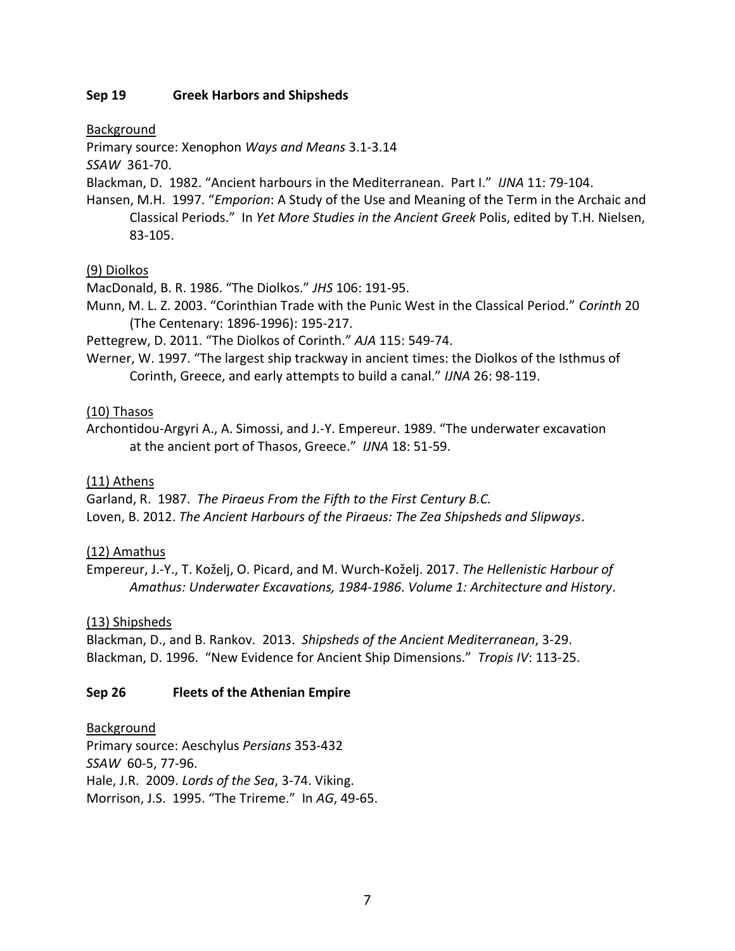## **Sep 19 Greek Harbors and Shipsheds**

Background

Primary source: Xenophon *Ways and Means* 3.1-3.14

*SSAW* 361-70.

Blackman, D. 1982. "Ancient harbours in the Mediterranean. Part I." *IJNA* 11: 79-104.

Hansen, M.H. 1997. "*Emporion*: A Study of the Use and Meaning of the Term in the Archaic and Classical Periods." In *Yet More Studies in the Ancient Greek* Polis, edited by T.H. Nielsen, 83-105.

# (9) Diolkos

MacDonald, B. R. 1986. "The Diolkos." *JHS* 106: 191-95.

Munn, M. L. Z. 2003. "Corinthian Trade with the Punic West in the Classical Period." *Corinth* 20 (The Centenary: 1896-1996): 195-217.

Pettegrew, D. 2011. "The Diolkos of Corinth." *AJA* 115: 549-74.

Werner, W. 1997. "The largest ship trackway in ancient times: the Diolkos of the Isthmus of Corinth, Greece, and early attempts to build a canal." *IJNA* 26: 98-119.

# (10) Thasos

Archontidou-Argyri A., A. Simossi, and J.-Y. Empereur. 1989. "The underwater excavation at the ancient port of Thasos, Greece." *IJNA* 18: 51-59.

# (11) Athens

Garland, R. 1987. *The Piraeus From the Fifth to the First Century B.C.* Loven, B. 2012. *The Ancient Harbours of the Piraeus: The Zea Shipsheds and Slipways*.

# (12) Amathus

Empereur, J.-Y., T. Koželj, O. Picard, and M. Wurch-Koželj. 2017. *The Hellenistic Harbour of Amathus: Underwater Excavations, 1984-1986. Volume 1: Architecture and History*.

# (13) Shipsheds

Blackman, D., and B. Rankov. 2013. *Shipsheds of the Ancient Mediterranean*, 3-29. Blackman, D. 1996. "New Evidence for Ancient Ship Dimensions." *Tropis IV*: 113-25.

# **Sep 26 Fleets of the Athenian Empire**

Background Primary source: Aeschylus *Persians* 353-432 *SSAW* 60-5, 77-96. Hale, J.R. 2009. *Lords of the Sea*, 3-74. Viking. Morrison, J.S. 1995. "The Trireme." In *AG*, 49-65.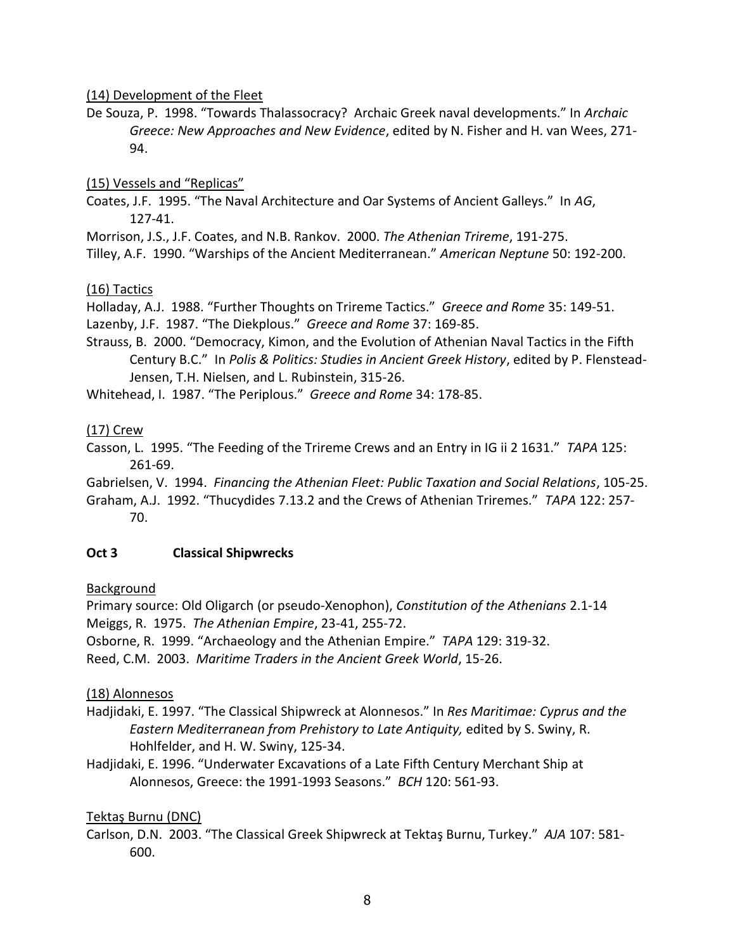## (14) Development of the Fleet

De Souza, P. 1998. "Towards Thalassocracy? Archaic Greek naval developments." In *Archaic Greece: New Approaches and New Evidence*, edited by N. Fisher and H. van Wees, 271- 94.

## (15) Vessels and "Replicas"

Coates, J.F. 1995. "The Naval Architecture and Oar Systems of Ancient Galleys." In *AG*, 127-41.

Morrison, J.S., J.F. Coates, and N.B. Rankov. 2000. *The Athenian Trireme*, 191-275.

Tilley, A.F. 1990. "Warships of the Ancient Mediterranean." *American Neptune* 50: 192-200.

## (16) Tactics

Holladay, A.J. 1988. "Further Thoughts on Trireme Tactics." *Greece and Rome* 35: 149-51. Lazenby, J.F. 1987. "The Diekplous." *Greece and Rome* 37: 169-85.

Strauss, B. 2000. "Democracy, Kimon, and the Evolution of Athenian Naval Tactics in the Fifth Century B.C." In *Polis & Politics: Studies in Ancient Greek History*, edited by P. Flenstead-Jensen, T.H. Nielsen, and L. Rubinstein, 315-26.

Whitehead, I. 1987. "The Periplous." *Greece and Rome* 34: 178-85.

# (17) Crew

Casson, L. 1995. "The Feeding of the Trireme Crews and an Entry in IG ii 2 1631." *TAPA* 125: 261-69.

Gabrielsen, V. 1994. *Financing the Athenian Fleet: Public Taxation and Social Relations*, 105-25. Graham, A.J. 1992. "Thucydides 7.13.2 and the Crews of Athenian Triremes." *TAPA* 122: 257- 70.

# **Oct 3 Classical Shipwrecks**

# Background

Primary source: Old Oligarch (or pseudo-Xenophon), *Constitution of the Athenians* 2.1-14 Meiggs, R. 1975. *The Athenian Empire*, 23-41, 255-72.

Osborne, R. 1999. "Archaeology and the Athenian Empire." *TAPA* 129: 319-32.

Reed, C.M. 2003. *Maritime Traders in the Ancient Greek World*, 15-26.

# (18) Alonnesos

- Hadjidaki, E. 1997. "The Classical Shipwreck at Alonnesos." In *Res Maritimae: Cyprus and the Eastern Mediterranean from Prehistory to Late Antiquity,* edited by S. Swiny, R. Hohlfelder, and H. W. Swiny, 125-34.
- Hadjidaki, E. 1996. "Underwater Excavations of a Late Fifth Century Merchant Ship at Alonnesos, Greece: the 1991-1993 Seasons." *BCH* 120: 561-93.

# Tektaş Burnu (DNC)

Carlson, D.N. 2003. "The Classical Greek Shipwreck at Tektaş Burnu, Turkey." *AJA* 107: 581- 600.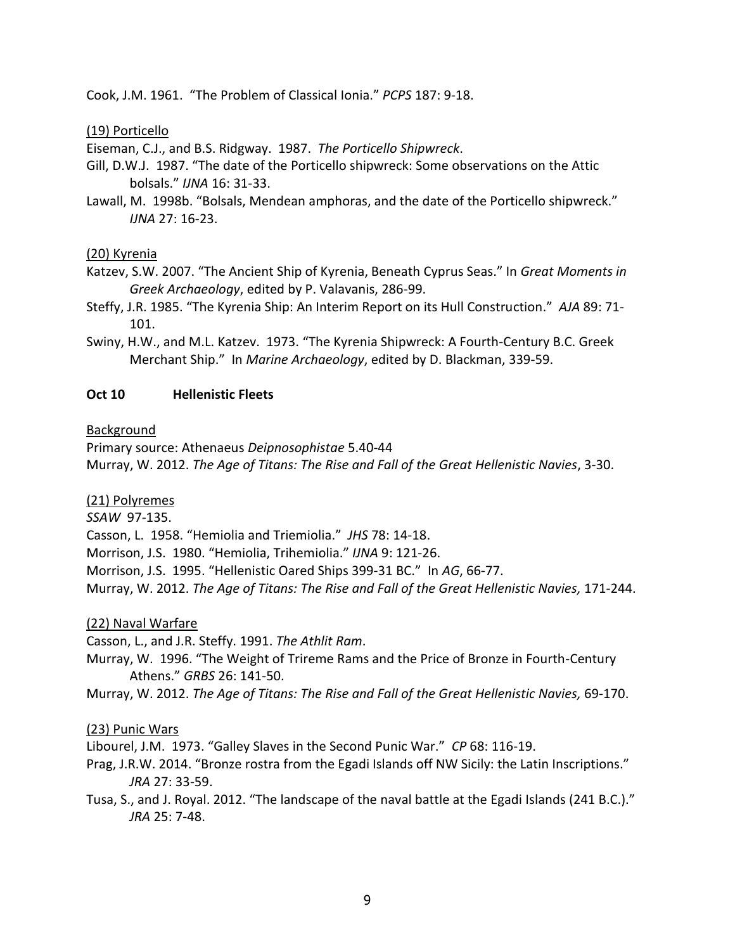Cook, J.M. 1961. "The Problem of Classical Ionia." *PCPS* 187: 9-18.

### (19) Porticello

Eiseman, C.J., and B.S. Ridgway. 1987. *The Porticello Shipwreck*.

- Gill, D.W.J. 1987. "The date of the Porticello shipwreck: Some observations on the Attic bolsals." *IJNA* 16: 31-33.
- Lawall, M. 1998b. "Bolsals, Mendean amphoras, and the date of the Porticello shipwreck." *IJNA* 27: 16-23.

#### (20) Kyrenia

- Katzev, S.W. 2007. "The Ancient Ship of Kyrenia, Beneath Cyprus Seas." In *Great Moments in Greek Archaeology*, edited by P. Valavanis, 286-99.
- Steffy, J.R. 1985. "The Kyrenia Ship: An Interim Report on its Hull Construction." *AJA* 89: 71- 101.
- Swiny, H.W., and M.L. Katzev. 1973. "The Kyrenia Shipwreck: A Fourth-Century B.C. Greek Merchant Ship." In *Marine Archaeology*, edited by D. Blackman, 339-59.

#### **Oct 10 Hellenistic Fleets**

#### Background

Primary source: Athenaeus *Deipnosophistae* 5.40-44 Murray, W. 2012. *The Age of Titans: The Rise and Fall of the Great Hellenistic Navies*, 3-30.

#### (21) Polyremes

*SSAW* 97-135.

Casson, L. 1958. "Hemiolia and Triemiolia." *JHS* 78: 14-18.

Morrison, J.S. 1980. "Hemiolia, Trihemiolia." *IJNA* 9: 121-26.

Morrison, J.S. 1995. "Hellenistic Oared Ships 399-31 BC." In *AG*, 66-77.

Murray, W. 2012. *The Age of Titans: The Rise and Fall of the Great Hellenistic Navies,* 171-244.

### (22) Naval Warfare

Casson, L., and J.R. Steffy. 1991. *The Athlit Ram*.

- Murray, W. 1996. "The Weight of Trireme Rams and the Price of Bronze in Fourth-Century Athens." *GRBS* 26: 141-50.
- Murray, W. 2012. *The Age of Titans: The Rise and Fall of the Great Hellenistic Navies,* 69-170.

### (23) Punic Wars

Libourel, J.M. 1973. "Galley Slaves in the Second Punic War." *CP* 68: 116-19.

- Prag, J.R.W. 2014. "Bronze rostra from the Egadi Islands off NW Sicily: the Latin Inscriptions." *JRA* 27: 33-59.
- Tusa, S., and J. Royal. 2012. "The landscape of the naval battle at the Egadi Islands (241 B.C.)." *JRA* 25: 7-48.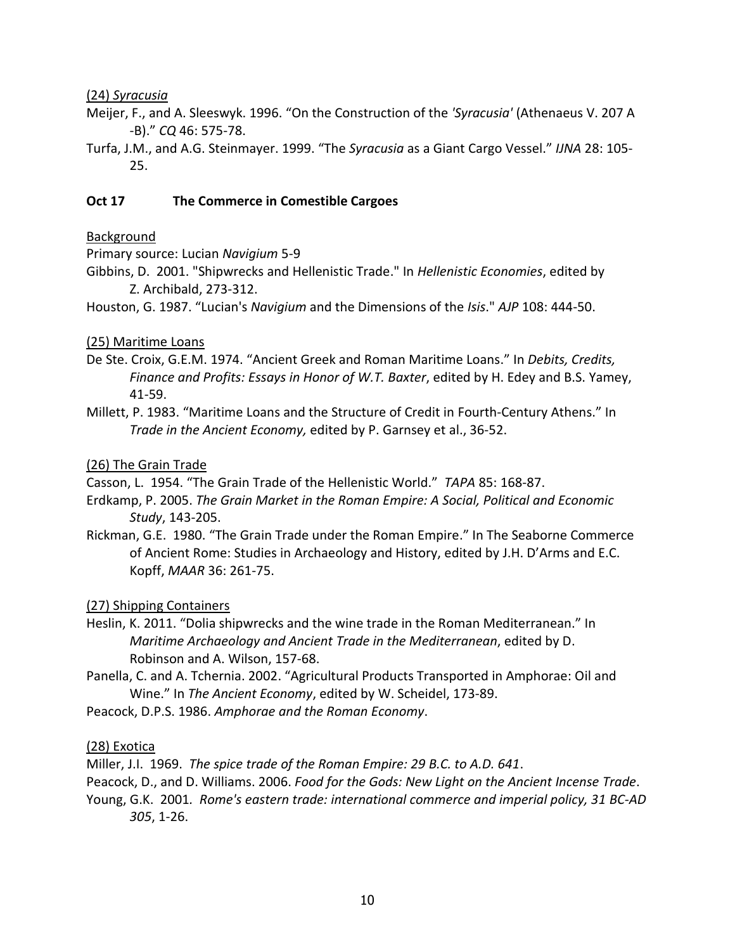### (24) *Syracusia*

- Meijer, F., and A. Sleeswyk. 1996. "On the Construction of the *'Syracusia'* (Athenaeus V. 207 A -B)." *CQ* 46: 575-78.
- Turfa, J.M., and A.G. Steinmayer. 1999. "The *Syracusia* as a Giant Cargo Vessel." *IJNA* 28: 105- 25.

### **Oct 17 The Commerce in Comestible Cargoes**

## Background

Primary source: Lucian *Navigium* 5-9

Gibbins, D. 2001. "Shipwrecks and Hellenistic Trade." In *Hellenistic Economies*, edited by Z. Archibald, 273-312.

Houston, G. 1987. "Lucian's *Navigium* and the Dimensions of the *Isis*." *AJP* 108: 444-50.

## (25) Maritime Loans

- De Ste. Croix, G.E.M. 1974. "Ancient Greek and Roman Maritime Loans." In *Debits, Credits, Finance and Profits: Essays in Honor of W.T. Baxter*, edited by H. Edey and B.S. Yamey, 41-59.
- Millett, P. 1983. "Maritime Loans and the Structure of Credit in Fourth-Century Athens." In *Trade in the Ancient Economy,* edited by P. Garnsey et al., 36-52.

## (26) The Grain Trade

Casson, L. 1954. "The Grain Trade of the Hellenistic World." *TAPA* 85: 168-87.

- Erdkamp, P. 2005. *The Grain Market in the Roman Empire: A Social, Political and Economic Study*, 143-205.
- Rickman, G.E. 1980. "The Grain Trade under the Roman Empire." In The Seaborne Commerce of Ancient Rome: Studies in Archaeology and History, edited by J.H. D'Arms and E.C. Kopff, *MAAR* 36: 261-75.

### (27) Shipping Containers

- Heslin, K. 2011. "Dolia shipwrecks and the wine trade in the Roman Mediterranean." In *Maritime Archaeology and Ancient Trade in the Mediterranean*, edited by D. Robinson and A. Wilson, 157-68.
- Panella, C. and A. Tchernia. 2002. "Agricultural Products Transported in Amphorae: Oil and Wine." In *The Ancient Economy*, edited by W. Scheidel, 173-89.

Peacock, D.P.S. 1986. *Amphorae and the Roman Economy*.

### (28) Exotica

Miller, J.I. 1969. *The spice trade of the Roman Empire: 29 B.C. to A.D. 641*.

- Peacock, D., and D. Williams. 2006. *Food for the Gods: New Light on the Ancient Incense Trade*.
- Young, G.K. 2001*. Rome's eastern trade: international commerce and imperial policy, 31 BC-AD 305*, 1-26.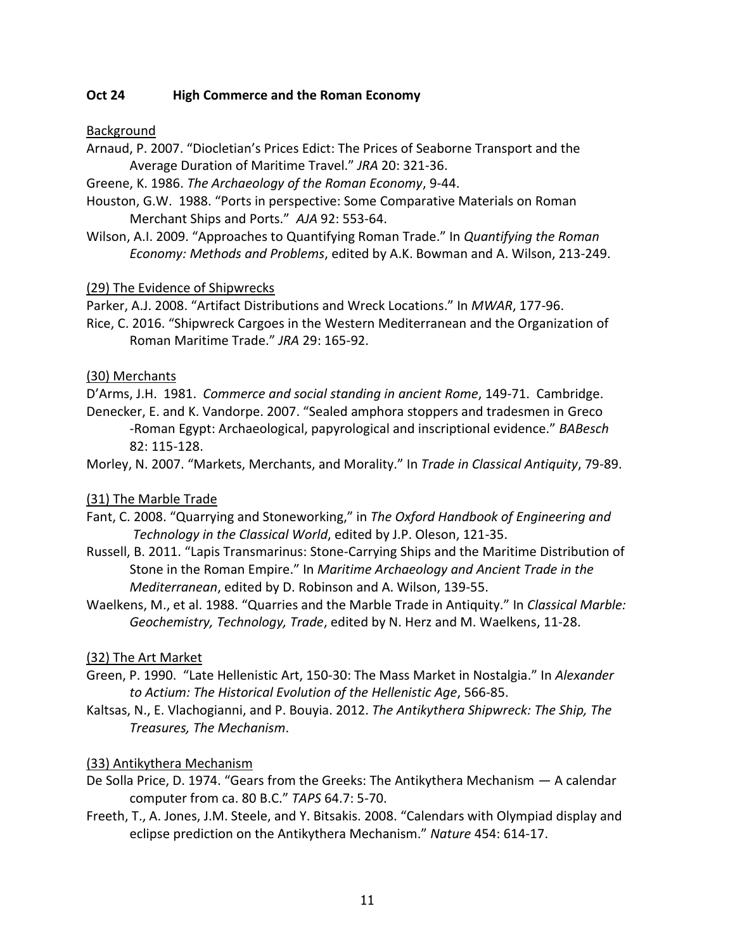## **Oct 24 High Commerce and the Roman Economy**

#### Background

Arnaud, P. 2007. "Diocletian's Prices Edict: The Prices of Seaborne Transport and the Average Duration of Maritime Travel." *JRA* 20: 321-36.

Greene, K. 1986. *The Archaeology of the Roman Economy*, 9-44.

- Houston, G.W. 1988. "Ports in perspective: Some Comparative Materials on Roman Merchant Ships and Ports." *AJA* 92: 553-64.
- Wilson, A.I. 2009. "Approaches to Quantifying Roman Trade." In *Quantifying the Roman Economy: Methods and Problems*, edited by A.K. Bowman and A. Wilson, 213-249.

#### (29) The Evidence of Shipwrecks

Parker, A.J. 2008. "Artifact Distributions and Wreck Locations." In *MWAR*, 177-96.

Rice, C. 2016. "Shipwreck Cargoes in the Western Mediterranean and the Organization of Roman Maritime Trade." *JRA* 29: 165-92.

### (30) Merchants

D'Arms, J.H. 1981. *Commerce and social standing in ancient Rome*, 149-71. Cambridge.

Denecker, E. and K. Vandorpe. 2007. "Sealed amphora stoppers and tradesmen in Greco -Roman Egypt: Archaeological, papyrological and inscriptional evidence." *BABesch* 82: 115-128.

Morley, N. 2007. "Markets, Merchants, and Morality." In *Trade in Classical Antiquity*, 79-89.

### (31) The Marble Trade

- Fant, C. 2008. "Quarrying and Stoneworking," in *The Oxford Handbook of Engineering and Technology in the Classical World*, edited by J.P. Oleson, 121-35.
- Russell, B. 2011. "Lapis Transmarinus: Stone-Carrying Ships and the Maritime Distribution of Stone in the Roman Empire." In *Maritime Archaeology and Ancient Trade in the Mediterranean*, edited by D. Robinson and A. Wilson, 139-55.
- Waelkens, M., et al. 1988. "Quarries and the Marble Trade in Antiquity." In *Classical Marble: Geochemistry, Technology, Trade*, edited by N. Herz and M. Waelkens, 11-28.

### (32) The Art Market

- Green, P. 1990. "Late Hellenistic Art, 150-30: The Mass Market in Nostalgia." In *Alexander to Actium: The Historical Evolution of the Hellenistic Age*, 566-85.
- Kaltsas, N., E. Vlachogianni, and P. Bouyia. 2012. *The Antikythera Shipwreck: The Ship, The Treasures, The Mechanism*.

### (33) Antikythera Mechanism

- De Solla Price, D. 1974. "Gears from the Greeks: The Antikythera Mechanism A calendar computer from ca. 80 B.C." *TAPS* 64.7: 5-70.
- Freeth, T., A. Jones, J.M. Steele, and Y. Bitsakis. 2008. "Calendars with Olympiad display and eclipse prediction on the Antikythera Mechanism." *Nature* 454: 614-17.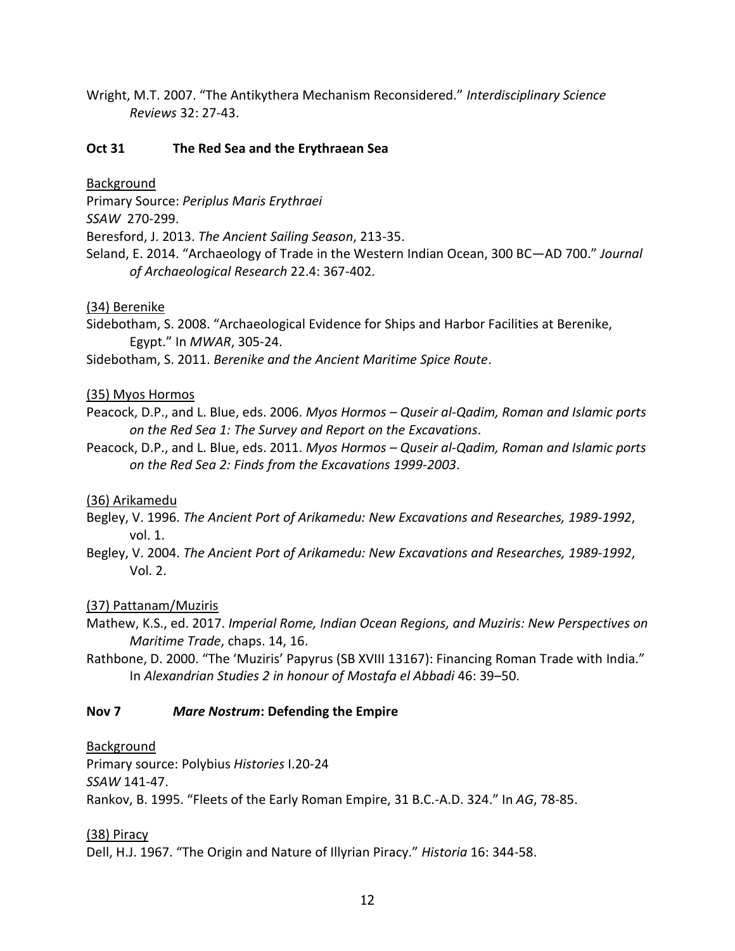Wright, M.T. 2007. "The Antikythera Mechanism Reconsidered." *Interdisciplinary Science Reviews* 32: 27-43.

# **Oct 31 The Red Sea and the Erythraean Sea**

# **Background**

Primary Source: *Periplus Maris Erythraei SSAW* 270-299. Beresford, J. 2013. *The Ancient Sailing Season*, 213-35. Seland, E. 2014. "Archaeology of Trade in the Western Indian Ocean, 300 BC—AD 700." *Journal of Archaeological Research* 22.4: 367-402.

## (34) Berenike

Sidebotham, S. 2008. "Archaeological Evidence for Ships and Harbor Facilities at Berenike, Egypt." In *MWAR*, 305-24.

Sidebotham, S. 2011. *Berenike and the Ancient Maritime Spice Route*.

## (35) Myos Hormos

Peacock, D.P., and L. Blue, eds. 2006. *Myos Hormos – Quseir al-Qadim, Roman and Islamic ports on the Red Sea 1: The Survey and Report on the Excavations*.

Peacock, D.P., and L. Blue, eds. 2011. *Myos Hormos – Quseir al-Qadim, Roman and Islamic ports on the Red Sea 2: Finds from the Excavations 1999-2003*.

# (36) Arikamedu

- Begley, V. 1996. *The Ancient Port of Arikamedu: New Excavations and Researches, 1989-1992*, vol. 1.
- Begley, V. 2004. *The Ancient Port of Arikamedu: New Excavations and Researches, 1989-1992*, Vol. 2.

# (37) Pattanam/Muziris

- Mathew, K.S., ed. 2017. *Imperial Rome, Indian Ocean Regions, and Muziris: New Perspectives on Maritime Trade*, chaps. 14, 16.
- Rathbone, D. 2000. "The 'Muziris' Papyrus (SB XVIII 13167): Financing Roman Trade with India." In *Alexandrian Studies 2 in honour of Mostafa el Abbadi* 46: 39–50.

### **Nov 7** *Mare Nostrum***: Defending the Empire**

Background

Primary source: Polybius *Histories* I.20-24 *SSAW* 141-47. Rankov, B. 1995. "Fleets of the Early Roman Empire, 31 B.C.-A.D. 324." In *AG*, 78-85.

(38) Piracy

Dell, H.J. 1967. "The Origin and Nature of Illyrian Piracy." *Historia* 16: 344-58.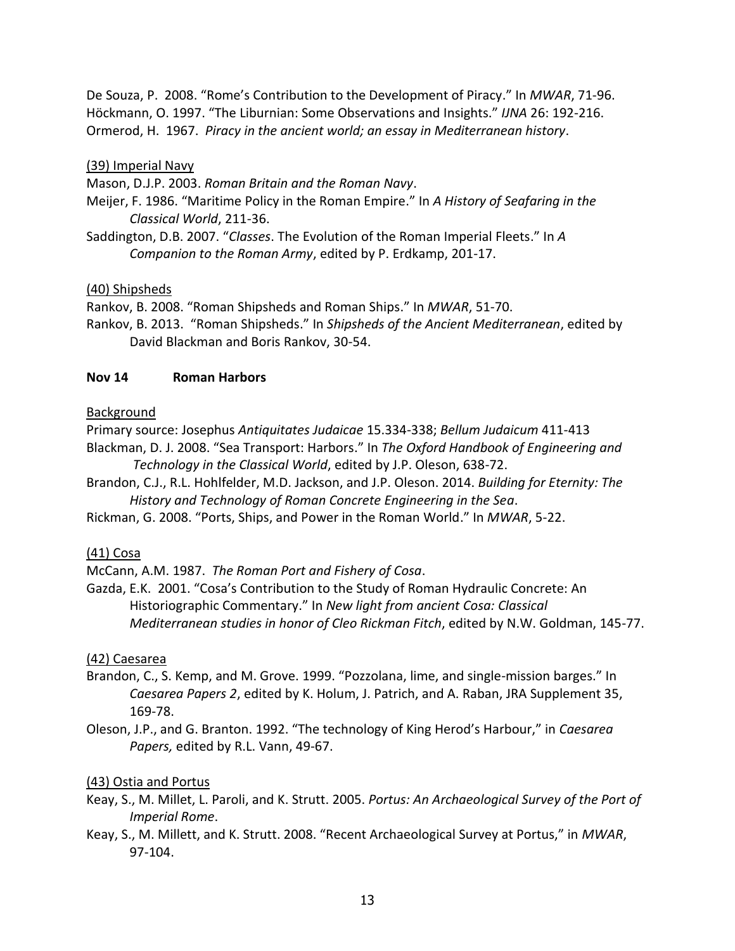De Souza, P. 2008. "Rome's Contribution to the Development of Piracy." In *MWAR*, 71-96. Höckmann, O. 1997. "The Liburnian: Some Observations and Insights." *IJNA* 26: 192-216. Ormerod, H. 1967. *Piracy in the ancient world; an essay in Mediterranean history*.

### (39) Imperial Navy

Mason, D.J.P. 2003. *Roman Britain and the Roman Navy*.

- Meijer, F. 1986. "Maritime Policy in the Roman Empire." In *A History of Seafaring in the Classical World*, 211-36.
- Saddington, D.B. 2007. "*Classes*. The Evolution of the Roman Imperial Fleets." In *A Companion to the Roman Army*, edited by P. Erdkamp, 201-17.

## (40) Shipsheds

Rankov, B. 2008. "Roman Shipsheds and Roman Ships." In *MWAR*, 51-70.

Rankov, B. 2013. "Roman Shipsheds." In *Shipsheds of the Ancient Mediterranean*, edited by David Blackman and Boris Rankov, 30-54.

# **Nov 14 Roman Harbors**

## Background

Primary source: Josephus *Antiquitates Judaicae* 15.334-338; *Bellum Judaicum* 411-413 Blackman, D. J. 2008. "Sea Transport: Harbors." In *The Oxford Handbook of Engineering and Technology in the Classical World*, edited by J.P. Oleson, 638-72.

Brandon, C.J., R.L. Hohlfelder, M.D. Jackson, and J.P. Oleson. 2014. *Building for Eternity: The History and Technology of Roman Concrete Engineering in the Sea*.

Rickman, G. 2008. "Ports, Ships, and Power in the Roman World." In *MWAR*, 5-22.

# (41) Cosa

McCann, A.M. 1987. *The Roman Port and Fishery of Cosa*.

Gazda, E.K. 2001. "Cosa's Contribution to the Study of Roman Hydraulic Concrete: An Historiographic Commentary." In *New light from ancient Cosa: Classical Mediterranean studies in honor of Cleo Rickman Fitch*, edited by N.W. Goldman, 145-77.

# (42) Caesarea

- Brandon, C., S. Kemp, and M. Grove. 1999. "Pozzolana, lime, and single-mission barges." In *Caesarea Papers 2*, edited by K. Holum, J. Patrich, and A. Raban, JRA Supplement 35, 169-78.
- Oleson, J.P., and G. Branton. 1992. "The technology of King Herod's Harbour," in *Caesarea Papers,* edited by R.L. Vann, 49-67.

# (43) Ostia and Portus

- Keay, S., M. Millet, L. Paroli, and K. Strutt. 2005. *Portus: An Archaeological Survey of the Port of Imperial Rome*.
- Keay, S., M. Millett, and K. Strutt. 2008. "Recent Archaeological Survey at Portus," in *MWAR*, 97-104.